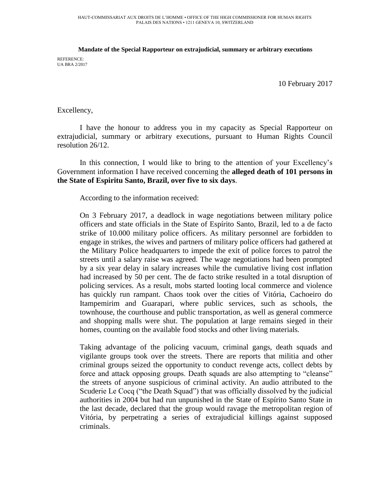## **Mandate of the Special Rapporteur on extrajudicial, summary or arbitrary executions**

REFERENCE: UA BRA 2/2017

10 February 2017

Excellency,

I have the honour to address you in my capacity as Special Rapporteur on extrajudicial, summary or arbitrary executions, pursuant to Human Rights Council resolution 26/12.

In this connection, I would like to bring to the attention of your Excellency's Government information I have received concerning the **alleged death of 101 persons in the State of Espiritu Santo, Brazil, over five to six days**.

According to the information received:

On 3 February 2017, a deadlock in wage negotiations between military police officers and state officials in the State of Espírito Santo, Brazil, led to a de facto strike of 10.000 military police officers. As military personnel are forbidden to engage in strikes, the wives and partners of military police officers had gathered at the Military Police headquarters to impede the exit of police forces to patrol the streets until a salary raise was agreed. The wage negotiations had been prompted by a six year delay in salary increases while the cumulative living cost inflation had increased by 50 per cent. The de facto strike resulted in a total disruption of policing services. As a result, mobs started looting local commerce and violence has quickly run rampant. Chaos took over the cities of Vitória, Cachoeiro do Itampemirim and Guarapari, where public services, such as schools, the townhouse, the courthouse and public transportation, as well as general commerce and shopping malls were shut. The population at large remains sieged in their homes, counting on the available food stocks and other living materials.

Taking advantage of the policing vacuum, criminal gangs, death squads and vigilante groups took over the streets. There are reports that militia and other criminal groups seized the opportunity to conduct revenge acts, collect debts by force and attack opposing groups. Death squads are also attempting to "cleanse" the streets of anyone suspicious of criminal activity. An audio attributed to the Scuderie Le Cocq ("the Death Squad") that was officially dissolved by the judicial authorities in 2004 but had run unpunished in the State of Espírito Santo State in the last decade, declared that the group would ravage the metropolitan region of Vitória, by perpetrating a series of extrajudicial killings against supposed criminals.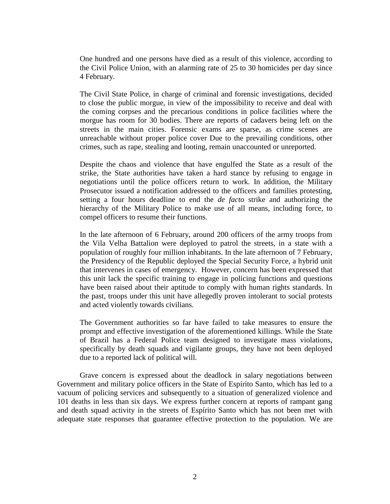One hundred and one persons have died as a result of this violence, according to the Civil Police Union, with an alarming rate of 25 to 30 homicides per day since 4 February.

The Civil State Police, in charge of criminal and forensic investigations, decided to close the public morgue, in view of the impossibility to receive and deal with the coming corpses and the precarious conditions in police facilities where the morgue has room for 30 bodies. There are reports of cadavers being left on the streets in the main cities. Forensic exams are sparse, as crime scenes are unreachable without proper police cover Due to the prevailing conditions, other crimes, such as rape, stealing and looting, remain unaccounted or unreported.

Despite the chaos and violence that have engulfed the State as a result of the strike, the State authorities have taken a hard stance by refusing to engage in negotiations until the police officers return to work. In addition, the Military Prosecutor issued a notification addressed to the officers and families protesting, setting a four hours deadline to end the *de facto* strike and authorizing the hierarchy of the Military Police to make use of all means, including force, to compel officers to resume their functions.

In the late afternoon of 6 February, around 200 officers of the army troops from the Vila Velha Battalion were deployed to patrol the streets, in a state with a population of roughly four million inhabitants. In the late afternoon of 7 February, the Presidency of the Republic deployed the Special Security Force, a hybrid unit that intervenes in cases of emergency. However, concern has been expressed that this unit lack the specific training to engage in policing functions and questions have been raised about their aptitude to comply with human rights standards. In the past, troops under this unit have allegedly proven intolerant to social protests and acted violently towards civilians.

The Government authorities so far have failed to take measures to ensure the prompt and effective investigation of the aforementioned killings. While the State of Brazil has a Federal Police team designed to investigate mass violations, specifically by death squads and vigilante groups, they have not been deployed due to a reported lack of political will.

Grave concern is expressed about the deadlock in salary negotiations between Government and military police officers in the State of Espírito Santo, which has led to a vacuum of policing services and subsequently to a situation of generalized violence and 101 deaths in less than six days. We express further concern at reports of rampant gang and death squad activity in the streets of Espírito Santo which has not been met with adequate state responses that guarantee effective protection to the population. We are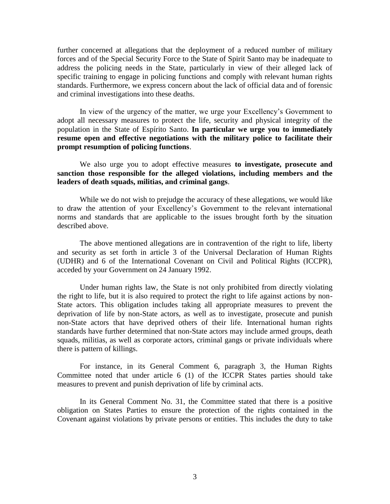further concerned at allegations that the deployment of a reduced number of military forces and of the Special Security Force to the State of Spirit Santo may be inadequate to address the policing needs in the State, particularly in view of their alleged lack of specific training to engage in policing functions and comply with relevant human rights standards. Furthermore, we express concern about the lack of official data and of forensic and criminal investigations into these deaths.

In view of the urgency of the matter, we urge your Excellency's Government to adopt all necessary measures to protect the life, security and physical integrity of the population in the State of Espírito Santo. **In particular we urge you to immediately resume open and effective negotiations with the military police to facilitate their prompt resumption of policing functions**.

We also urge you to adopt effective measures **to investigate, prosecute and sanction those responsible for the alleged violations, including members and the leaders of death squads, militias, and criminal gangs**.

While we do not wish to prejudge the accuracy of these allegations, we would like to draw the attention of your Excellency's Government to the relevant international norms and standards that are applicable to the issues brought forth by the situation described above.

The above mentioned allegations are in contravention of the right to life, liberty and security as set forth in article 3 of the Universal Declaration of Human Rights (UDHR) and 6 of the International Covenant on Civil and Political Rights (ICCPR), acceded by your Government on 24 January 1992.

Under human rights law, the State is not only prohibited from directly violating the right to life, but it is also required to protect the right to life against actions by non-State actors. This obligation includes taking all appropriate measures to prevent the deprivation of life by non-State actors, as well as to investigate, prosecute and punish non-State actors that have deprived others of their life. International human rights standards have further determined that non-State actors may include armed groups, death squads, militias, as well as corporate actors, criminal gangs or private individuals where there is pattern of killings.

For instance, in its General Comment 6, paragraph 3, the Human Rights Committee noted that under article 6 (1) of the ICCPR States parties should take measures to prevent and punish deprivation of life by criminal acts.

In its General Comment No. 31, the Committee stated that there is a positive obligation on States Parties to ensure the protection of the rights contained in the Covenant against violations by private persons or entities. This includes the duty to take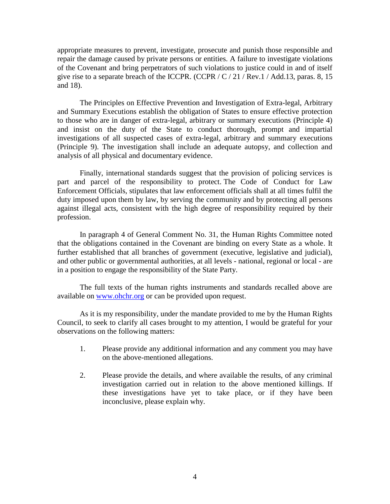appropriate measures to prevent, investigate, prosecute and punish those responsible and repair the damage caused by private persons or entities. A failure to investigate violations of the Covenant and bring perpetrators of such violations to justice could in and of itself give rise to a separate breach of the ICCPR. (CCPR /  $C/21$  / Rev.1 / Add.13, paras. 8, 15 and 18).

The Principles on Effective Prevention and Investigation of Extra-legal, Arbitrary and Summary Executions establish the obligation of States to ensure effective protection to those who are in danger of extra-legal, arbitrary or summary executions (Principle 4) and insist on the duty of the State to conduct thorough, prompt and impartial investigations of all suspected cases of extra-legal, arbitrary and summary executions (Principle 9). The investigation shall include an adequate autopsy, and collection and analysis of all physical and documentary evidence.

Finally, international standards suggest that the provision of policing services is part and parcel of the responsibility to protect. The Code of Conduct for Law Enforcement Officials, stipulates that law enforcement officials shall at all times fulfil the duty imposed upon them by law, by serving the community and by protecting all persons against illegal acts, consistent with the high degree of responsibility required by their profession.

In paragraph 4 of General Comment No. 31, the Human Rights Committee noted that the obligations contained in the Covenant are binding on every State as a whole. It further established that all branches of government (executive, legislative and judicial), and other public or governmental authorities, at all levels - national, regional or local - are in a position to engage the responsibility of the State Party.

The full texts of the human rights instruments and standards recalled above are available on [www.ohchr.org](http://www.ohchr.org/) or can be provided upon request.

As it is my responsibility, under the mandate provided to me by the Human Rights Council, to seek to clarify all cases brought to my attention, I would be grateful for your observations on the following matters:

- 1. Please provide any additional information and any comment you may have on the above-mentioned allegations.
- 2. Please provide the details, and where available the results, of any criminal investigation carried out in relation to the above mentioned killings. If these investigations have yet to take place, or if they have been inconclusive, please explain why.